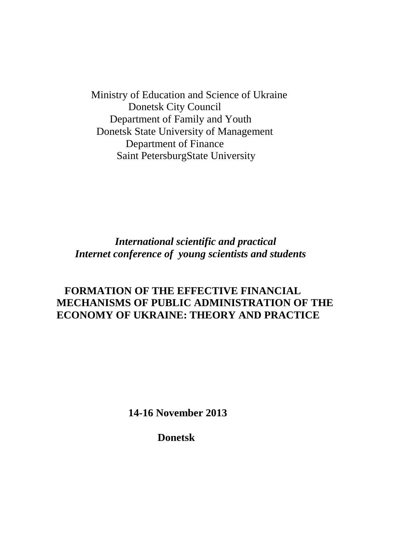Ministry of Education and Science of Ukraine Donetsk City Council Department of Family and Youth Donetsk State University of Management Department of Finance Saint PetersburgState University

 *International scientific and practical Internet conference of young scientists and students*

### **FORMATION OF THE EFFECTIVE FINANCIAL MECHANISMS OF PUBLIC ADMINISTRATION OF THE ECONOMY OF UKRAINE: THEORY AND PRACTICE**

 **14-16 November 2013**

 **Donetsk**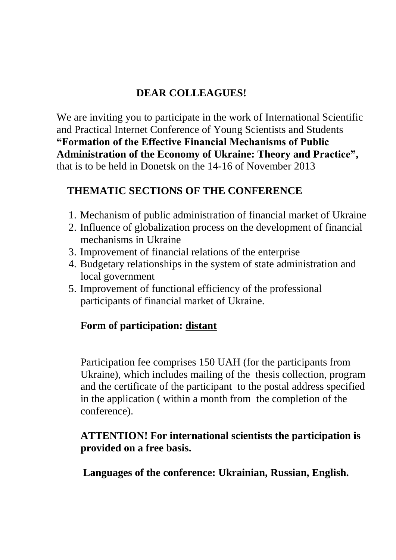# **DEAR COLLEAGUES!**

We are inviting you to participate in the work of International Scientific and Practical Internet Conference of Young Scientists and Students **"Formation of the Effective Financial Mechanisms of Public Administration of the Economy of Ukraine: Theory and Practice",**  that is to be held in Donetsk on the 14-16 of November 2013

# **THEMATIC SECTIONS OF THE CONFERENCE**

- 1. Mechanism of public administration of financial market of Ukraine
- 2. Influence of globalization process on the development of financial mechanisms in Ukraine
- 3. Improvement of financial relations of the enterprise
- 4. Budgetary relationships in the system of state administration and local government
- 5. Improvement of functional efficiency of the professional participants of financial market of Ukraine.

### **Form of participation: distant**

Participation fee comprises 150 UAH (for the participants from Ukraine), which includes mailing of the thesis collection, program and the certificate of the participant to the postal address specified in the application ( within a month from the completion of the conference).

### **ATTENTION! For international scientists the participation is provided on a free basis.**

 **Languages of the conference: Ukrainian, Russian, English.**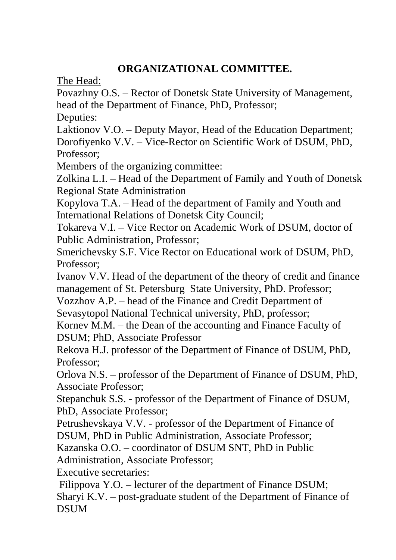# **ORGANIZATIONAL COMMITTEE.**

The Head:

Povazhny O.S. – Rector of Donetsk State University of Management, head of the Department of Finance, PhD, Professor;

Deputies:

Laktionov V.O. – Deputy Mayor, Head of the Education Department; Dorofiyenko V.V. – Vice-Rector on Scientific Work of DSUM, PhD, Professor;

Members of the organizing committee:

Zolkina L.I. – Head of the Department of Family and Youth of Donetsk Regional State Administration

Kopylova T.A. – Head of the department of Family and Youth and International Relations of Donetsk City Council;

Tokareva V.I. – Vice Rector on Academic Work of DSUM, doctor of Public Administration, Professor;

Smerichevsky S.F. Vice Rector on Educational work of DSUM, PhD, Professor;

Ivanov V.V. Head of the department of the theory of credit and finance management of St. Petersburg State University, PhD. Professor;

Vozzhov A.P. – head of the Finance and Credit Department of

Sevasytopol National Technical university, PhD, professor;

Kornev M.M. – the Dean of the accounting and Finance Faculty of DSUM; PhD, Associate Professor

Rekova H.J. professor of the Department of Finance of DSUM, PhD, Professor;

Orlova N.S. – professor of the Department of Finance of DSUM, PhD, Associate Professor;

Stepanchuk S.S. - professor of the Department of Finance of DSUM, PhD, Associate Professor;

Petrushevskaya V.V. - professor of the Department of Finance of DSUM, PhD in Public Administration, Associate Professor;

Kazanska O.O. – coordinator of DSUM SNT, PhD in Public

Administration, Associate Professor;

Executive secretaries:

Filippova Y.O. – lecturer of the department of Finance DSUM; Sharyi K.V. – post-graduate student of the Department of Finance of DSUM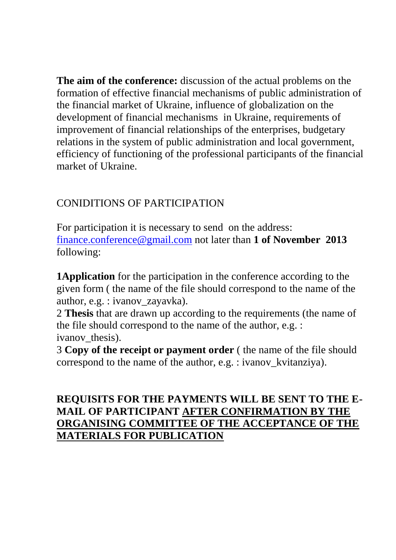**The aim of the conference:** discussion of the actual problems on the formation of effective financial mechanisms of public administration of the financial market of Ukraine, influence of globalization on the development of financial mechanisms in Ukraine, requirements of improvement of financial relationships of the enterprises, budgetary relations in the system of public administration and local government, efficiency of functioning of the professional participants of the financial market of Ukraine.

# CONIDITIONS OF PARTICIPATION

For participation it is necessary to send on the address: [finance.conference@gmail.com](mailto:finance.conference@gmail.com) not later than **1 of November 2013** following:

**1Application** for the participation in the conference according to the given form ( the name of the file should correspond to the name of the author, e.g. : ivanov\_zayavka).

2 **Thesis** that are drawn up according to the requirements (the name of the file should correspond to the name of the author, e.g. : ivanov thesis).

3 **Copy of the receipt or payment order** ( the name of the file should correspond to the name of the author, e.g. : ivanov kvitanziya).

# **REQUISITS FOR THE PAYMENTS WILL BE SENT TO THE E-MAIL OF PARTICIPANT AFTER CONFIRMATION BY THE ORGANISING COMMITTEE OF THE ACCEPTANCE OF THE MATERIALS FOR PUBLICATION**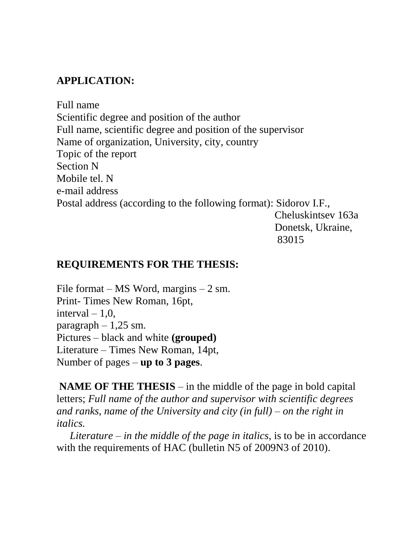## **APPLICATION:**

Full name Scientific degree and position of the author Full name, scientific degree and position of the supervisor Name of organization, University, city, country Topic of the report Section N Mobile tel. N e-mail address Postal address (according to the following format): Sidorov I.F.,

 Cheluskintsev 163a Donetsk, Ukraine, 83015

### **REQUIREMENTS FOR THE THESIS:**

File format – MS Word, margins –  $2 \text{ sm}$ . Print- Times New Roman, 16pt, interval  $-1.0$ . paragraph  $-1,25$  sm. Pictures – black and white **(grouped)** Literature – Times New Roman, 14pt, Number of pages – **up to 3 pages**.

**NAME OF THE THESIS** – in the middle of the page in bold capital letters; *Full name of the author and supervisor with scientific degrees and ranks, name of the University and city (in full) – on the right in italics.*

 *Literature – in the middle of the page in italics*, is to be in accordance with the requirements of HAC (bulletin N5 of 2009N3 of 2010).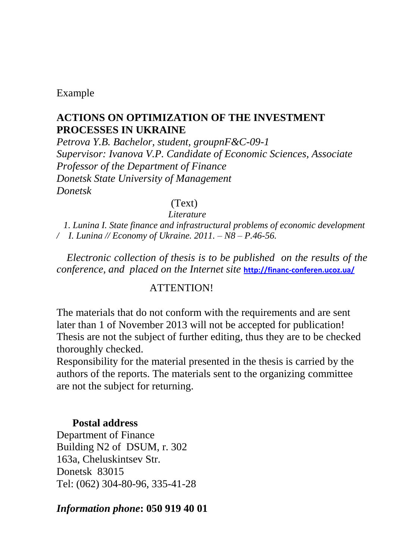### Example

### **ACTIONS ON OPTIMIZATION OF THE INVESTMENT PROCESSES IN UKRAINE**

*Petrova Y.B. Bachelor, student, groupnF&C-09-1 Supervisor: Ivanova V.P. Candidate of Economic Sciences, Associate Professor of the Department of Finance Donetsk State University of Management Donetsk*

### (Text)

#### *Literature*

 *1. Lunina I. State finance and infrastructural problems of economic development / I. Lunina // Economy of Ukraine. 2011. – N8 – P.46-56.*

*Electronic collection of thesis is to be published on the results of the conference, and placed on the Internet site* **<http://financ-conferen.ucoz.ua/>**

### ATTENTION!

The materials that do not conform with the requirements and are sent later than 1 of November 2013 will not be accepted for publication! Thesis are not the subject of further editing, thus they are to be checked thoroughly checked.

Responsibility for the material presented in the thesis is carried by the authors of the reports. The materials sent to the organizing committee are not the subject for returning.

### **Postal address**

Department of Finance Building N2 of DSUM, r. 302 163a, Cheluskintsev Str. Donetsk 83015 Tel: (062) 304-80-96, 335-41-28

### *Information phone***: 050 919 40 01**